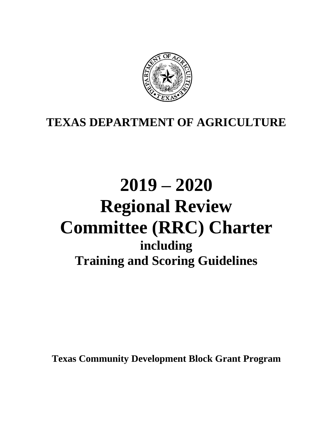

# **TEXAS DEPARTMENT OF AGRICULTURE**

# **2019 – 2020 Regional Review Committee (RRC) Charter including Training and Scoring Guidelines**

**Texas Community Development Block Grant Program**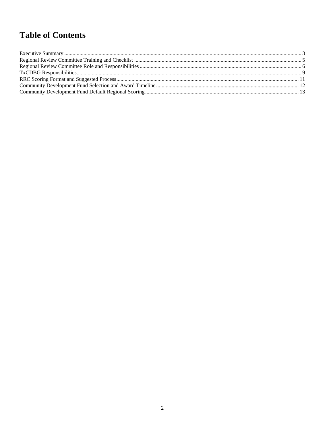# **Table of Contents**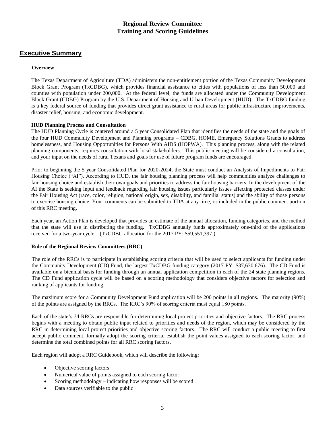# **Regional Review Committee Training and Scoring Guidelines**

# <span id="page-2-0"></span>**Executive Summary**

#### **Overview**

The Texas Department of Agriculture (TDA) administers the non-entitlement portion of the Texas Community Development Block Grant Program (TxCDBG), which provides financial assistance to cities with populations of less than 50,000 and counties with population under 200,000. At the federal level, the funds are allocated under the Community Development Block Grant (CDBG) Program by the U.S. Department of Housing and Urban Development (HUD). The TxCDBG funding is a key federal source of funding that provides direct grant assistance to rural areas for public infrastructure improvements, disaster relief, housing, and economic development.

#### **HUD Planning Process and Consultation**

The HUD Planning Cycle is centered around a 5 year Consolidated Plan that identifies the needs of the state and the goals of the four HUD Community Development and Planning programs – CDBG, HOME, Emergency Solutions Grants to address homelessness, and Housing Opportunities for Persons With AIDS (HOPWA). This planning process, along with the related planning components, requires consultation with local stakeholders. This public meeting will be considered a consultation, and your input on the needs of rural Texans and goals for use of future program funds are encouraged.

Prior to beginning the 5 year Consolidated Plan for 2020-2024, the State must conduct an Analysis of Impediments to Fair Housing Choice ("AI"). According to HUD, the fair housing planning process will help communities analyze challenges to fair housing choice and establish their own goals and priorities to address the fair housing barriers. In the development of the AI the State is seeking input and feedback regarding fair housing issues particularly issues affecting protected classes under the Fair Housing Act (race, color, religion, national origin, sex, disability, and familial status) and the ability of those persons to exercise housing choice. Your comments can be submitted to TDA at any time, or included in the public comment portion of this RRC meeting.

Each year, an Action Plan is developed that provides an estimate of the annual allocation, funding categories, and the method that the state will use in distributing the funding. TxCDBG annually funds approximately one-third of the applications received for a two-year cycle. (TxCDBG allocation for the 2017 PY: \$59,551,397.)

#### **Role of the Regional Review Committees (RRC)**

The role of the RRCs is to participate in establishing scoring criteria that will be used to select applicants for funding under the Community Development (CD) Fund, the largest TxCDBG funding category (2017 PY: \$37,630,676). The CD Fund is available on a biennial basis for funding through an annual application competition in each of the 24 state planning regions. The CD Fund application cycle will be based on a scoring methodology that considers objective factors for selection and ranking of applicants for funding.

The maximum score for a Community Development Fund application will be 200 points in all regions. The majority (90%) of the points are assigned by the RRCs. The RRC's 90% of scoring criteria must equal 180 points.

Each of the state's 24 RRCs are responsible for determining local project priorities and objective factors. The RRC process begins with a meeting to obtain public input related to priorities and needs of the region, which may be considered by the RRC in determining local project priorities and objective scoring factors. The RRC will conduct a public meeting to first accept public comment, formally adopt the scoring criteria, establish the point values assigned to each scoring factor, and determine the total combined points for all RRC scoring factors.

Each region will adopt a RRC Guidebook, which will describe the following:

- Objective scoring factors
- Numerical value of points assigned to each scoring factor
- Scoring methodology indicating how responses will be scored
- Data sources verifiable to the public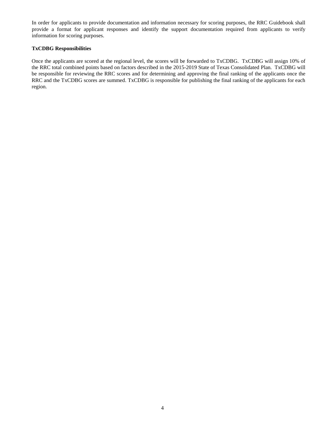In order for applicants to provide documentation and information necessary for scoring purposes, the RRC Guidebook shall provide a format for applicant responses and identify the support documentation required from applicants to verify information for scoring purposes.

#### **TxCDBG Responsibilities**

Once the applicants are scored at the regional level, the scores will be forwarded to TxCDBG. TxCDBG will assign 10% of the RRC total combined points based on factors described in the 2015-2019 State of Texas Consolidated Plan. TxCDBG will be responsible for reviewing the RRC scores and for determining and approving the final ranking of the applicants once the RRC and the TxCDBG scores are summed. TxCDBG is responsible for publishing the final ranking of the applicants for each region.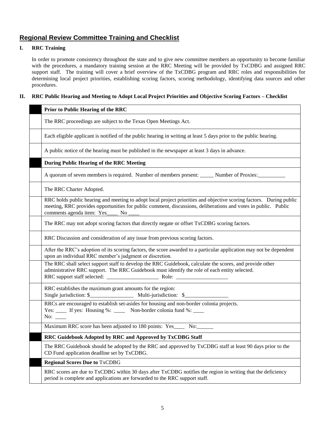# <span id="page-4-0"></span>**Regional Review Committee Training and Checklist**

#### **I. RRC Training**

In order to promote consistency throughout the state and to give new committee members an opportunity to become familiar with the procedures, a mandatory training session at the RRC Meeting will be provided by TxCDBG and assigned RRC support staff. The training will cover a brief overview of the TxCDBG program and RRC roles and responsibilities for determining local project priorities, establishing scoring factors, scoring methodology, identifying data sources and other procedures.

#### **II. RRC Public Hearing and Meeting to Adopt Local Project Priorities and Objective Scoring Factors – Checklist**

#### **Prior to Public Hearing of the RRC**

The RRC proceedings are subject to the Texas Open Meetings Act.

Each eligible applicant is notified of the public hearing in writing at least 5 days prior to the public hearing.

A public notice of the hearing must be published in the newspaper at least 3 days in advance.

#### **During Public Hearing of the RRC Meeting**

A quorum of seven members is required. Number of members present: Number of Proxies:

The RRC Charter Adopted.

RRC holds public hearing and meeting to adopt local project priorities and objective scoring factors. During public meeting, RRC provides opportunities for public comment, discussions, deliberations and votes in public. Public comments agenda item: Yes\_\_\_\_ No \_\_\_\_

The RRC may not adopt scoring factors that directly negate or offset TxCDBG scoring factors.

RRC Discussion and consideration of any issue from previous scoring factors.

After the RRC's adoption of its scoring factors, the score awarded to a particular application may not be dependent upon an individual RRC member's judgment or discretion.

The RRC shall select support staff to develop the RRC Guidebook, calculate the scores, and provide other administrative RRC support. The RRC Guidebook must identify the role of each entity selected. RRC support staff selected: \_\_\_\_\_\_\_\_\_\_\_\_\_\_\_\_\_\_\_ Role: \_\_\_\_\_\_\_\_\_\_\_\_\_\_\_\_\_\_\_

RRC establishes the maximum grant amounts for the region: Single jurisdiction: \$\_\_\_\_\_\_\_\_\_\_\_\_\_\_\_\_\_\_\_\_\_\_ Multi-jurisdiction: \$\_\_\_\_\_\_\_\_\_\_\_\_\_\_

RRCs are encouraged to establish set-asides for housing and non-border colonia projects.

Yes: \_\_\_\_ If yes: Housing %: \_\_\_\_ Non-border colonia fund %: \_\_\_\_

 $No:$ 

Maximum RRC score has been adjusted to 180 points: Yes No:

#### **RRC Guidebook Adopted by RRC and Approved by TxCDBG Staff**

The RRC Guidebook should be adopted by the RRC and approved by TxCDBG staff at least 90 days prior to the CD Fund application deadline set by TxCDBG.

#### **Regional Scores Due to** TxCDBG

RRC scores are due to TxCDBG within 30 days after TxCDBG notifies the region in writing that the deficiency period is complete and applications are forwarded to the RRC support staff.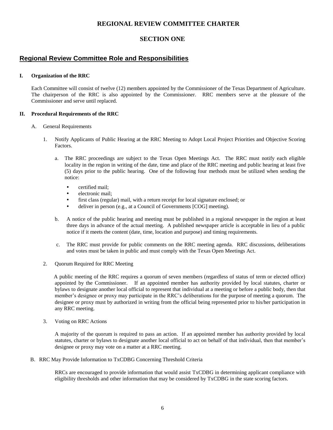### **REGIONAL REVIEW COMMITTEE CHARTER**

#### **SECTION ONE**

#### <span id="page-5-0"></span>**Regional Review Committee Role and Responsibilities**

#### **I. Organization of the RRC**

Each Committee will consist of twelve (12) members appointed by the Commissioner of the Texas Department of Agriculture. The chairperson of the RRC is also appointed by the Commissioner. RRC members serve at the pleasure of the Commissioner and serve until replaced.

#### **II. Procedural Requirements of the RRC**

- A. General Requirements
	- 1. Notify Applicants of Public Hearing at the RRC Meeting to Adopt Local Project Priorities and Objective Scoring Factors.
		- a. The RRC proceedings are subject to the Texas Open Meetings Act. The RRC must notify each eligible locality in the region in writing of the date, time and place of the RRC meeting and public hearing at least five (5) days prior to the public hearing. One of the following four methods must be utilized when sending the notice:
			- certified mail:
			- electronic mail;
			- first class (regular) mail, with a return receipt for local signature enclosed; or
			- deliver in person (e.g., at a Council of Governments [COG] meeting).
		- b. A notice of the public hearing and meeting must be published in a regional newspaper in the region at least three days in advance of the actual meeting. A published newspaper article is acceptable in lieu of a public notice if it meets the content (date, time, location and purpose) and timing requirements.
		- c. The RRC must provide for public comments on the RRC meeting agenda. RRC discussions, deliberations and votes must be taken in public and must comply with the Texas Open Meetings Act.
	- 2. Quorum Required for RRC Meeting

A public meeting of the RRC requires a quorum of seven members (regardless of status of term or elected office) appointed by the Commissioner. If an appointed member has authority provided by local statutes, charter or bylaws to designate another local official to represent that individual at a meeting or before a public body, then that member's designee or proxy may participate in the RRC's deliberations for the purpose of meeting a quorum. The designee or proxy must by authorized in writing from the official being represented prior to his/her participation in any RRC meeting.

3. Voting on RRC Actions

A majority of the quorum is required to pass an action. If an appointed member has authority provided by local statutes, charter or bylaws to designate another local official to act on behalf of that individual, then that member's designee or proxy may vote on a matter at a RRC meeting.

B. RRC May Provide Information to TxCDBG Concerning Threshold Criteria

RRCs are encouraged to provide information that would assist TxCDBG in determining applicant compliance with eligibility thresholds and other information that may be considered by TxCDBG in the state scoring factors.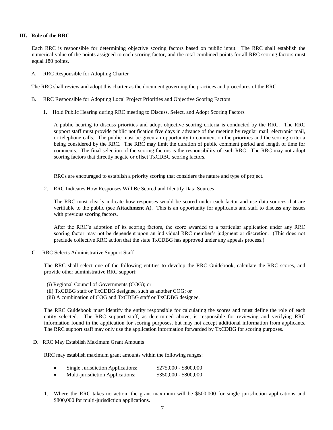#### **III. Role of the RRC**

Each RRC is responsible for determining objective scoring factors based on public input. The RRC shall establish the numerical value of the points assigned to each scoring factor, and the total combined points for all RRC scoring factors must equal 180 points.

A. RRC Responsible for Adopting Charter

The RRC shall review and adopt this charter as the document governing the practices and procedures of the RRC.

- B. RRC Responsible for Adopting Local Project Priorities and Objective Scoring Factors
	- 1. Hold Public Hearing during RRC meeting to Discuss, Select, and Adopt Scoring Factors

A public hearing to discuss priorities and adopt objective scoring criteria is conducted by the RRC. The RRC support staff must provide public notification five days in advance of the meeting by regular mail, electronic mail, or telephone calls. The public must be given an opportunity to comment on the priorities and the scoring criteria being considered by the RRC. The RRC may limit the duration of public comment period and length of time for comments. The final selection of the scoring factors is the responsibility of each RRC. The RRC may not adopt scoring factors that directly negate or offset TxCDBG scoring factors.

RRCs are encouraged to establish a priority scoring that considers the nature and type of project.

2. RRC Indicates How Responses Will Be Scored and Identify Data Sources

The RRC must clearly indicate how responses would be scored under each factor and use data sources that are verifiable to the public (see **Attachment A**). This is an opportunity for applicants and staff to discuss any issues with previous scoring factors.

After the RRC's adoption of its scoring factors, the score awarded to a particular application under any RRC scoring factor may not be dependent upon an individual RRC member's judgment or discretion. (This does not preclude collective RRC action that the state TxCDBG has approved under any appeals process.)

C. RRC Selects Administrative Support Staff

The RRC shall select one of the following entities to develop the RRC Guidebook, calculate the RRC scores, and provide other administrative RRC support:

- (i) Regional Council of Governments (COG); or
- (ii) TxCDBG staff or TxCDBG designee, such as another COG; or
- (iii) A combination of COG and TxCDBG staff or TxCDBG designee.

The RRC Guidebook must identify the entity responsible for calculating the scores and must define the role of each entity selected. The RRC support staff, as determined above, is responsible for reviewing and verifying RRC information found in the application for scoring purposes, but may not accept additional information from applicants. The RRC support staff may only use the application information forwarded by TxCDBG for scoring purposes.

D. RRC May Establish Maximum Grant Amounts

RRC may establish maximum grant amounts within the following ranges:

| Single Jurisdiction Applications:                            | $$275,000 - $800,000$ |
|--------------------------------------------------------------|-----------------------|
| $\mathbf{M}$ 1. $\mathbf{M}$ 1. $\mathbf{M}$ 1. $\mathbf{M}$ | $A250.000$ $A000.000$ |

- Multi-jurisdiction Applications:  $$350,000 $800,000$
- 1. Where the RRC takes no action, the grant maximum will be \$500,000 for single jurisdiction applications and \$800,000 for multi-jurisdiction applications.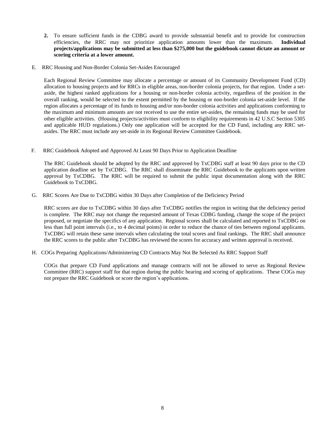- **2.** To ensure sufficient funds in the CDBG award to provide substantial benefit and to provide for construction efficiencies, the RRC may not prioritize application amounts lower than the maximum. **Individual projects/applications may be submitted at less than \$275,000 but the guidebook cannot dictate an amount or scoring criteria at a lower amount.**
- E. RRC Housing and Non-Border Colonia Set-Asides Encouraged

Each Regional Review Committee may allocate a percentage or amount of its Community Development Fund (CD) allocation to housing projects and for RRCs in eligible areas, non-border colonia projects, for that region. Under a setaside, the highest ranked applications for a housing or non-border colonia activity, regardless of the position in the overall ranking, would be selected to the extent permitted by the housing or non-border colonia set-aside level. If the region allocates a percentage of its funds to housing and/or non-border colonia activities and applications conforming to the maximum and minimum amounts are not received to use the entire set-asides, the remaining funds may be used for other eligible activities. (Housing projects/activities must conform to eligibility requirements in 42 U.S.C Section 5305 and applicable HUD regulations.) Only one application will be accepted for the CD Fund, including any RRC setasides. The RRC must include any set-aside in its Regional Review Committee Guidebook.

F. RRC Guidebook Adopted and Approved At Least 90 Days Prior to Application Deadline

The RRC Guidebook should be adopted by the RRC and approved by TxCDBG staff at least 90 days prior to the CD application deadline set by TxCDBG. The RRC shall disseminate the RRC Guidebook to the applicants upon written approval by TxCDBG. The RRC will be required to submit the public input documentation along with the RRC Guidebook to TxCDBG.

G. RRC Scores Are Due to TxCDBG within 30 Days after Completion of the Deficiency Period

RRC scores are due to TxCDBG within 30 days after TxCDBG notifies the region in writing that the deficiency period is complete. The RRC may not change the requested amount of Texas CDBG funding, change the scope of the project proposed, or negotiate the specifics of any application. Regional scores shall be calculated and reported to TxCDBG on less than full point intervals (i.e., to 4 decimal points) in order to reduce the chance of ties between regional applicants. TxCDBG will retain these same intervals when calculating the total scores and final rankings. The RRC shall announce the RRC scores to the public after TxCDBG has reviewed the scores for accuracy and written approval is received.

H. COGs Preparing Applications/Administering CD Contracts May Not Be Selected As RRC Support Staff

COGs that prepare CD Fund applications and manage contracts will not be allowed to serve as Regional Review Committee (RRC) support staff for that region during the public hearing and scoring of applications. These COGs may not prepare the RRC Guidebook or score the region's applications.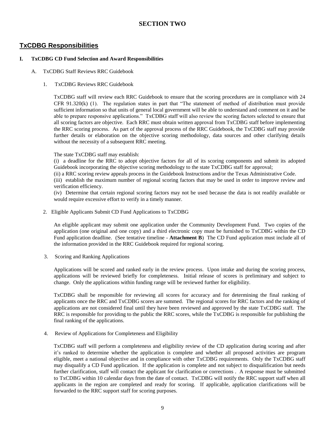# **SECTION TWO**

# <span id="page-8-0"></span>**TxCDBG Responsibilities**

#### **I. TxCDBG CD Fund Selection and Award Responsibilities**

- A. TxCDBG Staff Reviews RRC Guidebook
	- 1. TxCDBG Reviews RRC Guidebook

TxCDBG staff will review each RRC Guidebook to ensure that the scoring procedures are in compliance with 24 CFR 91.320(k) (1). The regulation states in part that "The statement of method of distribution must provide sufficient information so that units of general local government will be able to understand and comment on it and be able to prepare responsive applications." TxCDBG staff will also review the scoring factors selected to ensure that all scoring factors are objective. Each RRC must obtain written approval from TxCDBG staff before implementing the RRC scoring process. As part of the approval process of the RRC Guidebook, the TxCDBG staff may provide further details or elaboration on the objective scoring methodology, data sources and other clarifying details without the necessity of a subsequent RRC meeting.

The state TxCDBG staff may establish:

(i) a deadline for the RRC to adopt objective factors for all of its scoring components and submit its adopted Guidebook incorporating the objective scoring methodology to the state TxCDBG staff for approval;

(ii) a RRC scoring review appeals process in the Guidebook Instructions and/or the Texas Administrative Code.

(iii) establish the maximum number of regional scoring factors that may be used in order to improve review and verification efficiency.

(iv) Determine that certain regional scoring factors may not be used because the data is not readily available or would require excessive effort to verify in a timely manner.

2. Eligible Applicants Submit CD Fund Applications to TxCDBG

An eligible applicant may submit one application under the Community Development Fund. Two copies of the application (one original and one copy) and a third electronic copy must be furnished to TxCDBG within the CD Fund application deadline. (See tentative timeline - **Attachment B**) The CD Fund application must include all of the information provided in the RRC Guidebook required for regional scoring.

3. Scoring and Ranking Applications

Applications will be scored and ranked early in the review process. Upon intake and during the scoring process, applications will be reviewed briefly for completeness. Initial release of scores is preliminary and subject to change. Only the applications within funding range will be reviewed further for eligibility.

TxCDBG shall be responsible for reviewing all scores for accuracy and for determining the final ranking of applicants once the RRC and TxCDBG scores are summed. The regional scores for RRC factors and the ranking of applications are not considered final until they have been reviewed and approved by the state TxCDBG staff. The RRC is responsible for providing to the public the RRC scores, while the TxCDBG is responsible for publishing the final ranking of the applications.

4. Review of Applications for Completeness and Eligibility

TxCDBG staff will perform a completeness and eligibility review of the CD application during scoring and after it's ranked to determine whether the application is complete and whether all proposed activities are program eligible, meet a national objective and in compliance with other TxCDBG requirements. Only the TxCDBG staff may disqualify a CD Fund application. If the application is complete and not subject to disqualification but needs further clarification, staff will contact the applicant for clarification or corrections . A response must be submitted to TxCDBG within 10 calendar days from the date of contact. TxCDBG will notify the RRC support staff when all applicants in the region are completed and ready for scoring. If applicable, application clarifications will be forwarded to the RRC support staff for scoring purposes.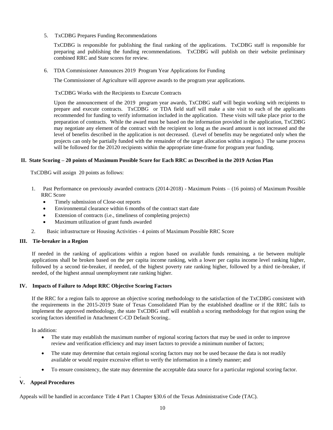5. TxCDBG Prepares Funding Recommendations

TxCDBG is responsible for publishing the final ranking of the applications. TxCDBG staff is responsible for preparing and publishing the funding recommendations. TxCDBG will publish on their website preliminary combined RRC and State scores for review.

6. TDA Commissioner Announces 2019 Program Year Applications for Funding

The Commissioner of Agriculture will approve awards to the program year applications.

TxCDBG Works with the Recipients to Execute Contracts

Upon the announcement of the 2019 program year awards, TxCDBG staff will begin working with recipients to prepare and execute contracts. TxCDBG or TDA field staff will make a site visit to each of the applicants recommended for funding to verify information included in the application. These visits will take place prior to the preparation of contracts. While the award must be based on the information provided in the application, TxCDBG may negotiate any element of the contract with the recipient so long as the award amount is not increased and the level of benefits described in the application is not decreased. (Level of benefits may be negotiated only when the projects can only be partially funded with the remainder of the target allocation within a region.) The same process will be followed for the 20120 recipients within the appropriate time-frame for program year funding.

#### **II. State Scoring – 20 points of Maximum Possible Score for Each RRC as Described in the 2019 Action Plan**

TxCDBG will assign 20 points as follows:

- 1. Past Performance on previously awarded contracts (2014-2018) Maximum Points (16 points) of Maximum Possible RRC Score
	- Timely submission of Close-out reports
	- Environmental clearance within 6 months of the contract start date
	- Extension of contracts (i.e., timeliness of completing projects)
	- Maximum utilization of grant funds awarded
- 2. Basic infrastructure or Housing Activities 4 points of Maximum Possible RRC Score

#### **III. Tie-breaker in a Region**

If needed in the ranking of applications within a region based on available funds remaining, a tie between multiple applications shall be broken based on the per capita income ranking, with a lower per capita income level ranking higher, followed by a second tie-breaker, if needed, of the highest poverty rate ranking higher, followed by a third tie-breaker, if needed, of the highest annual unemployment rate ranking higher.

#### **IV. Impacts of Failure to Adopt RRC Objective Scoring Factors**

If the RRC for a region fails to approve an objective scoring methodology to the satisfaction of the TxCDBG consistent with the requirements in the 2015-2019 State of Texas Consolidated Plan by the established deadline or if the RRC fails to implement the approved methodology, the state TxCDBG staff will establish a scoring methodology for that region using the scoring factors identified in Attachment C-CD Default Scoring..

In addition:

- The state may establish the maximum number of regional scoring factors that may be used in order to improve review and verification efficiency and may insert factors to provide a minimum number of factors;
- The state may determine that certain regional scoring factors may not be used because the data is not readily available or would require excessive effort to verify the information in a timely manner; and
- To ensure consistency, the state may determine the acceptable data source for a particular regional scoring factor.

#### **V. Appeal Procedures**

.

Appeals will be handled in accordance Title 4 Part 1 Chapter §30.6 of the Texas Administrative Code (TAC).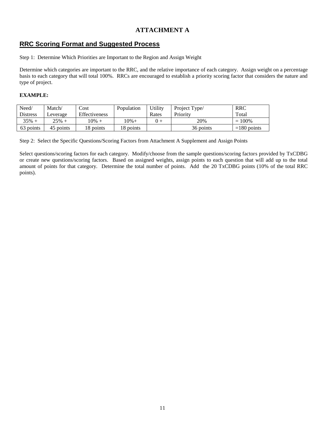# **ATTACHMENT A**

# <span id="page-10-0"></span>**RRC Scoring Format and Suggested Process**

Step 1: Determine Which Priorities are Important to the Region and Assign Weight

Determine which categories are important to the RRC, and the relative importance of each category. Assign weight on a percentage basis to each category that will total 100%. RRCs are encouraged to establish a priority scoring factor that considers the nature and type of project.

#### **EXAMPLE:**

| Need/           | Match/    | Cost          | Population | Utility | Project Type/ | <b>RRC</b>    |
|-----------------|-----------|---------------|------------|---------|---------------|---------------|
| <b>Distress</b> | Leverage  | Effectiveness |            | Rates   | Priority      | Total         |
| $35% +$         | $25% +$   | $10\% +$      | 10%+       |         | 20%           | $= 100\%$     |
| 63 points       | 45 points | 18 points     | 18 points  |         | 36 points     | $=180$ points |

Step 2: Select the Specific Questions/Scoring Factors from Attachment A Supplement and Assign Points

Select questions/scoring factors for each category. Modify/choose from the sample questions/scoring factors provided by TxCDBG or create new questions/scoring factors. Based on assigned weights, assign points to each question that will add up to the total amount of points for that category. Determine the total number of points. Add the 20 TxCDBG points (10% of the total RRC points).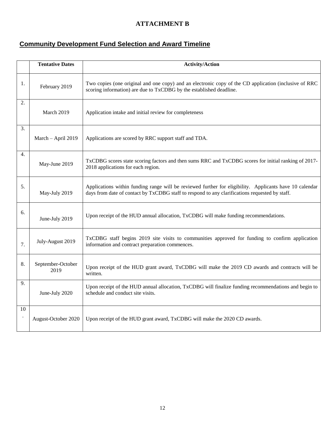# **ATTACHMENT B**

# <span id="page-11-0"></span>**Community Development Fund Selection and Award Timeline**

|    | <b>Tentative Dates</b>    | <b>Activity/Action</b>                                                                                                                                                                                    |
|----|---------------------------|-----------------------------------------------------------------------------------------------------------------------------------------------------------------------------------------------------------|
| 1. | February 2019             | Two copies (one original and one copy) and an electronic copy of the CD application (inclusive of RRC<br>scoring information) are due to TxCDBG by the established deadline.                              |
| 2. | March 2019                | Application intake and initial review for completeness                                                                                                                                                    |
| 3. | March - April 2019        | Applications are scored by RRC support staff and TDA.                                                                                                                                                     |
| 4. | May-June 2019             | TxCDBG scores state scoring factors and then sums RRC and TxCDBG scores for initial ranking of 2017-<br>2018 applications for each region.                                                                |
| 5. | May-July 2019             | Applications within funding range will be reviewed further for eligibility. Applicants have 10 calendar<br>days from date of contact by TxCDBG staff to respond to any clarifications requested by staff. |
| 6. | June-July 2019            | Upon receipt of the HUD annual allocation, TxCDBG will make funding recommendations.                                                                                                                      |
| 7. | July-August 2019          | TxCDBG staff begins 2019 site visits to communities approved for funding to confirm application<br>information and contract preparation commences.                                                        |
| 8. | September-October<br>2019 | Upon receipt of the HUD grant award, TxCDBG will make the 2019 CD awards and contracts will be<br>written.                                                                                                |
| 9. | June-July 2020            | Upon receipt of the HUD annual allocation, TxCDBG will finalize funding recommendations and begin to<br>schedule and conduct site visits.                                                                 |
| 10 | August-October 2020       | Upon receipt of the HUD grant award, TxCDBG will make the 2020 CD awards.                                                                                                                                 |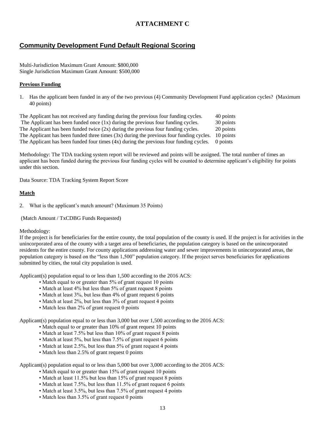# **ATTACHMENT C**

# <span id="page-12-0"></span>**Community Development Fund Default Regional Scoring**

Multi-Jurisdiction Maximum Grant Amount: \$800,000 Single Jurisdiction Maximum Grant Amount: \$500,000

#### **Previous Funding**

1. Has the applicant been funded in any of the two previous (4) Community Development Fund application cycles? (Maximum 40 points)

The Applicant has not received any funding during the previous four funding cycles. 40 points The Applicant has been funded once  $(1x)$  during the previous four funding cycles.  $30$  points The Applicant has been funded twice  $(2x)$  during the previous four funding cycles. 20 points The Applicant has been funded three times  $(3x)$  during the previous four funding cycles. 10 points The Applicant has been funded four times (4x) during the previous four funding cycles. 0 points

Methodology: The TDA tracking system report will be reviewed and points will be assigned. The total number of times an applicant has been funded during the previous four funding cycles will be counted to determine applicant's eligibility for points under this section.

Data Source: TDA Tracking System Report Score

#### **Match**

2. What is the applicant's match amount? (Maximum 35 Points)

(Match Amount / TxCDBG Funds Requested)

#### Methodology:

If the project is for beneficiaries for the entire county, the total population of the county is used. If the project is for activities in the unincorporated area of the county with a target area of beneficiaries, the population category is based on the unincorporated residents for the entire county. For county applications addressing water and sewer improvements in unincorporated areas, the population category is based on the "less than 1,500" population category. If the project serves beneficiaries for applications submitted by cities, the total city population is used.

Applicant(s) population equal to or less than 1,500 according to the 2016 ACS:

- Match equal to or greater than 5% of grant request 10 points
- Match at least 4% but less than 5% of grant request 8 points
- Match at least 3%, but less than 4% of grant request 6 points
- Match at least 2%, but less than 3% of grant request 4 points
- Match less than 2% of grant request 0 points

Applicant(s) population equal to or less than 3,000 but over 1,500 according to the 2016 ACS:

- Match equal to or greater than 10% of grant request 10 points
- Match at least 7.5% but less than 10% of grant request 8 points
- Match at least 5%, but less than 7.5% of grant request 6 points
- Match at least 2.5%, but less than 5% of grant request 4 points
- Match less than 2.5% of grant request 0 points

Applicant(s) population equal to or less than 5,000 but over 3,000 according to the 2016 ACS:

- Match equal to or greater than 15% of grant request 10 points
- Match at least 11.5% but less than 15% of grant request 8 points
- Match at least 7.5%, but less than 11.5% of grant request 6 points
- Match at least 3.5%, but less than 7.5% of grant request 4 points
- Match less than 3.5% of grant request 0 points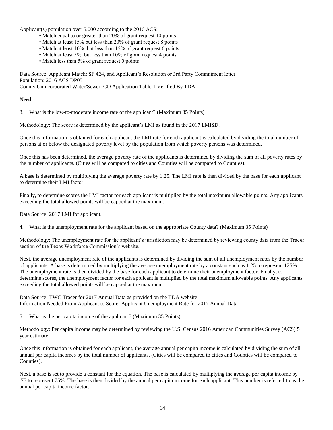Applicant(s) population over 5,000 according to the 2016 ACS:

- Match equal to or greater than 20% of grant request 10 points
- Match at least 15% but less than 20% of grant request 8 points
- Match at least 10%, but less than 15% of grant request 6 points
- Match at least 5%, but less than 10% of grant request 4 points
- Match less than 5% of grant request 0 points

Data Source: Applicant Match: SF 424, and Applicant's Resolution or 3rd Party Commitment letter Population: 2016 ACS DP05 County Unincorporated Water/Sewer: CD Application Table 1 Verified By TDA

#### **Need**

3. What is the low-to-moderate income rate of the applicant? (Maximum 35 Points)

Methodology: The score is determined by the applicant's LMI as found in the 2017 LMISD.

Once this information is obtained for each applicant the LMI rate for each applicant is calculated by dividing the total number of persons at or below the designated poverty level by the population from which poverty persons was determined.

Once this has been determined, the average poverty rate of the applicants is determined by dividing the sum of all poverty rates by the number of applicants. (Cities will be compared to cities and Counties will be compared to Counties).

A base is determined by multiplying the average poverty rate by 1.25. The LMI rate is then divided by the base for each applicant to determine their LMI factor.

Finally, to determine scores the LMI factor for each applicant is multiplied by the total maximum allowable points. Any applicants exceeding the total allowed points will be capped at the maximum.

Data Source: 2017 LMI for applicant.

4. What is the unemployment rate for the applicant based on the appropriate County data? (Maximum 35 Points)

Methodology: The unemployment rate for the applicant's jurisdiction may be determined by reviewing county data from the Tracer section of the Texas Workforce Commission's website.

Next, the average unemployment rate of the applicants is determined by dividing the sum of all unemployment rates by the number of applicants. A base is determined by multiplying the average unemployment rate by a constant such as 1.25 to represent 125%. The unemployment rate is then divided by the base for each applicant to determine their unemployment factor. Finally, to determine scores, the unemployment factor for each applicant is multiplied by the total maximum allowable points. Any applicants exceeding the total allowed points will be capped at the maximum.

Data Source: TWC Tracer for 2017 Annual Data as provided on the TDA website. Information Needed From Applicant to Score: Applicant Unemployment Rate for 2017 Annual Data

5. What is the per capita income of the applicant? (Maximum 35 Points)

Methodology: Per capita income may be determined by reviewing the U.S. Census 2016 American Communities Survey (ACS) 5 year estimate.

Once this information is obtained for each applicant, the average annual per capita income is calculated by dividing the sum of all annual per capita incomes by the total number of applicants. (Cities will be compared to cities and Counties will be compared to Counties).

Next, a base is set to provide a constant for the equation. The base is calculated by multiplying the average per capita income by .75 to represent 75%. The base is then divided by the annual per capita income for each applicant. This number is referred to as the annual per capita income factor.